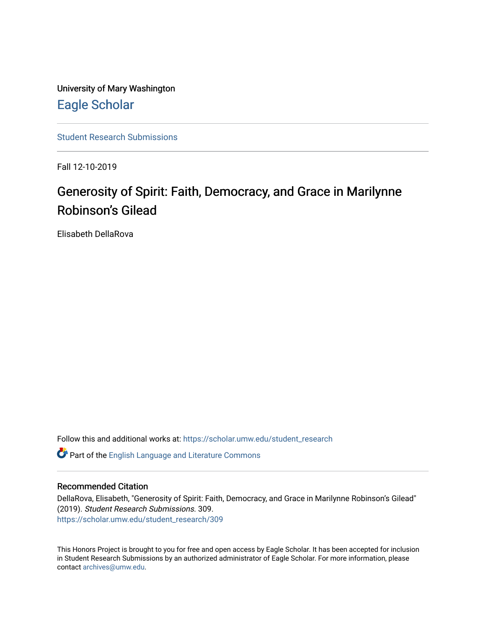University of Mary Washington [Eagle Scholar](https://scholar.umw.edu/) 

[Student Research Submissions](https://scholar.umw.edu/student_research) 

Fall 12-10-2019

# Generosity of Spirit: Faith, Democracy, and Grace in Marilynne Robinson's Gilead

Elisabeth DellaRova

Follow this and additional works at: [https://scholar.umw.edu/student\\_research](https://scholar.umw.edu/student_research?utm_source=scholar.umw.edu%2Fstudent_research%2F309&utm_medium=PDF&utm_campaign=PDFCoverPages)

Part of the [English Language and Literature Commons](http://network.bepress.com/hgg/discipline/455?utm_source=scholar.umw.edu%2Fstudent_research%2F309&utm_medium=PDF&utm_campaign=PDFCoverPages)

#### Recommended Citation

DellaRova, Elisabeth, "Generosity of Spirit: Faith, Democracy, and Grace in Marilynne Robinson's Gilead" (2019). Student Research Submissions. 309. [https://scholar.umw.edu/student\\_research/309](https://scholar.umw.edu/student_research/309?utm_source=scholar.umw.edu%2Fstudent_research%2F309&utm_medium=PDF&utm_campaign=PDFCoverPages)

This Honors Project is brought to you for free and open access by Eagle Scholar. It has been accepted for inclusion in Student Research Submissions by an authorized administrator of Eagle Scholar. For more information, please contact [archives@umw.edu](mailto:archives@umw.edu).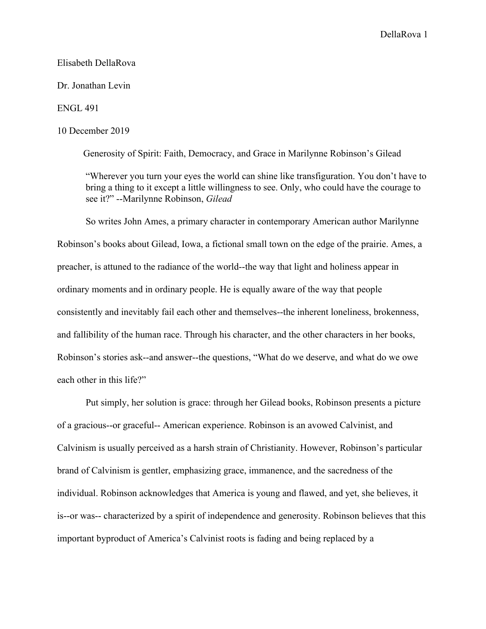#### Elisabeth DellaRova

Dr. Jonathan Levin

ENGL 491

### 10 December 2019

Generosity of Spirit: Faith, Democracy, and Grace in Marilynne Robinson's Gilead

"Wherever you turn your eyes the world can shine like transfiguration. You don't have to bring a thing to it except a little willingness to see. Only, who could have the courage to see it?" --Marilynne Robinson, *Gilead*

So writes John Ames, a primary character in contemporary American author Marilynne Robinson's books about Gilead, Iowa, a fictional small town on the edge of the prairie. Ames, a preacher, is attuned to the radiance of the world--the way that light and holiness appear in ordinary moments and in ordinary people. He is equally aware of the way that people consistently and inevitably fail each other and themselves--the inherent loneliness, brokenness, and fallibility of the human race. Through his character, and the other characters in her books, Robinson's stories ask--and answer--the questions, "What do we deserve, and what do we owe each other in this life?"

Put simply, her solution is grace: through her Gilead books, Robinson presents a picture of a gracious--or graceful-- American experience. Robinson is an avowed Calvinist, and Calvinism is usually perceived as a harsh strain of Christianity. However, Robinson's particular brand of Calvinism is gentler, emphasizing grace, immanence, and the sacredness of the individual. Robinson acknowledges that America is young and flawed, and yet, she believes, it is--or was-- characterized by a spirit of independence and generosity. Robinson believes that this important byproduct of America's Calvinist roots is fading and being replaced by a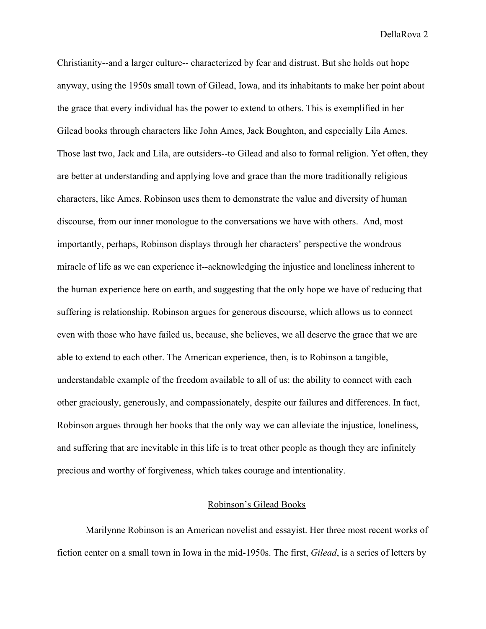Christianity--and a larger culture-- characterized by fear and distrust. But she holds out hope anyway, using the 1950s small town of Gilead, Iowa, and its inhabitants to make her point about the grace that every individual has the power to extend to others. This is exemplified in her Gilead books through characters like John Ames, Jack Boughton, and especially Lila Ames. Those last two, Jack and Lila, are outsiders--to Gilead and also to formal religion. Yet often, they are better at understanding and applying love and grace than the more traditionally religious characters, like Ames. Robinson uses them to demonstrate the value and diversity of human discourse, from our inner monologue to the conversations we have with others. And, most importantly, perhaps, Robinson displays through her characters' perspective the wondrous miracle of life as we can experience it--acknowledging the injustice and loneliness inherent to the human experience here on earth, and suggesting that the only hope we have of reducing that suffering is relationship. Robinson argues for generous discourse, which allows us to connect even with those who have failed us, because, she believes, we all deserve the grace that we are able to extend to each other. The American experience, then, is to Robinson a tangible, understandable example of the freedom available to all of us: the ability to connect with each other graciously, generously, and compassionately, despite our failures and differences. In fact, Robinson argues through her books that the only way we can alleviate the injustice, loneliness, and suffering that are inevitable in this life is to treat other people as though they are infinitely precious and worthy of forgiveness, which takes courage and intentionality.

### Robinson's Gilead Books

Marilynne Robinson is an American novelist and essayist. Her three most recent works of fiction center on a small town in Iowa in the mid-1950s. The first, *Gilead*, is a series of letters by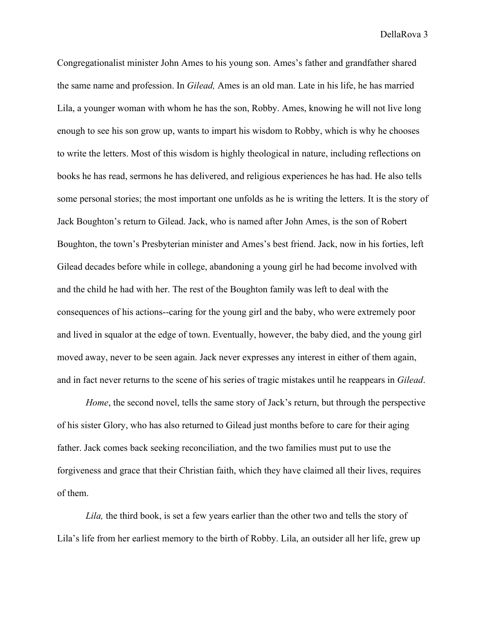Congregationalist minister John Ames to his young son. Ames's father and grandfather shared the same name and profession. In *Gilead,* Ames is an old man. Late in his life, he has married Lila, a younger woman with whom he has the son, Robby. Ames, knowing he will not live long enough to see his son grow up, wants to impart his wisdom to Robby, which is why he chooses to write the letters. Most of this wisdom is highly theological in nature, including reflections on books he has read, sermons he has delivered, and religious experiences he has had. He also tells some personal stories; the most important one unfolds as he is writing the letters. It is the story of Jack Boughton's return to Gilead. Jack, who is named after John Ames, is the son of Robert Boughton, the town's Presbyterian minister and Ames's best friend. Jack, now in his forties, left Gilead decades before while in college, abandoning a young girl he had become involved with and the child he had with her. The rest of the Boughton family was left to deal with the consequences of his actions--caring for the young girl and the baby, who were extremely poor and lived in squalor at the edge of town. Eventually, however, the baby died, and the young girl moved away, never to be seen again. Jack never expresses any interest in either of them again, and in fact never returns to the scene of his series of tragic mistakes until he reappears in *Gilead*.

*Home*, the second novel, tells the same story of Jack's return, but through the perspective of his sister Glory, who has also returned to Gilead just months before to care for their aging father. Jack comes back seeking reconciliation, and the two families must put to use the forgiveness and grace that their Christian faith, which they have claimed all their lives, requires of them.

*Lila,* the third book, is set a few years earlier than the other two and tells the story of Lila's life from her earliest memory to the birth of Robby. Lila, an outsider all her life, grew up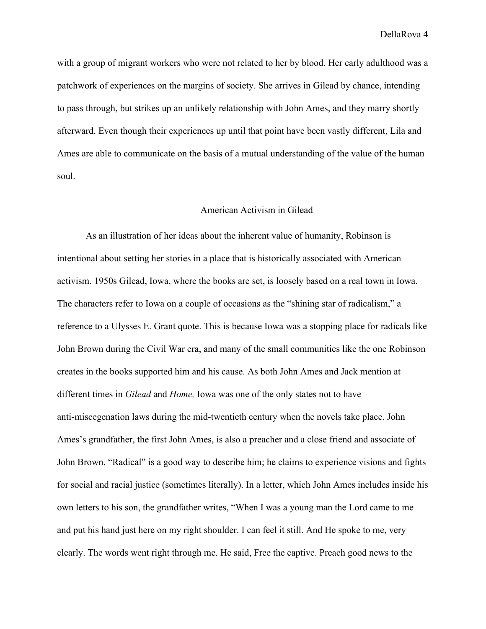with a group of migrant workers who were not related to her by blood. Her early adulthood was a patchwork of experiences on the margins of society. She arrives in Gilead by chance, intending to pass through, but strikes up an unlikely relationship with John Ames, and they marry shortly afterward. Even though their experiences up until that point have been vastly different, Lila and Ames are able to communicate on the basis of a mutual understanding of the value of the human soul.

#### American Activism in Gilead

As an illustration of her ideas about the inherent value of humanity, Robinson is intentional about setting her stories in a place that is historically associated with American activism. 1950s Gilead, Iowa, where the books are set, is loosely based on a real town in Iowa. The characters refer to Iowa on a couple of occasions as the "shining star of radicalism," a reference to a Ulysses E. Grant quote. This is because Iowa was a stopping place for radicals like John Brown during the Civil War era, and many of the small communities like the one Robinson creates in the books supported him and his cause. As both John Ames and Jack mention at different times in *Gilead* and *Home,* Iowa was one of the only states not to have anti-miscegenation laws during the mid-twentieth century when the novels take place. John Ames's grandfather, the first John Ames, is also a preacher and a close friend and associate of John Brown. "Radical" is a good way to describe him; he claims to experience visions and fights for social and racial justice (sometimes literally). In a letter, which John Ames includes inside his own letters to his son, the grandfather writes, "When I was a young man the Lord came to me and put his hand just here on my right shoulder. I can feel it still. And He spoke to me, very clearly. The words went right through me. He said, Free the captive. Preach good news to the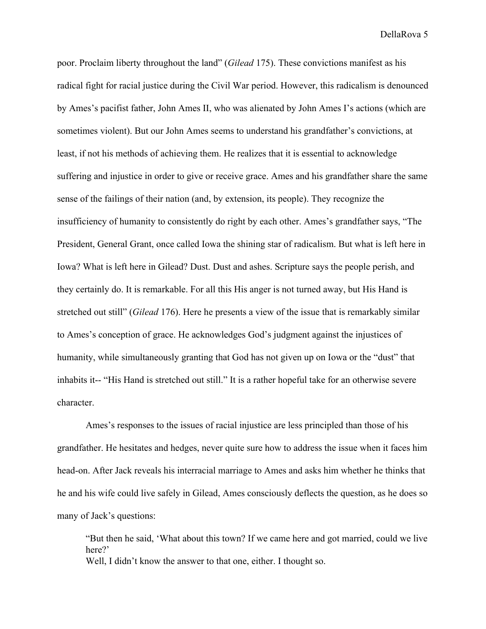poor. Proclaim liberty throughout the land" (*Gilead* 175). These convictions manifest as his radical fight for racial justice during the Civil War period. However, this radicalism is denounced by Ames's pacifist father, John Ames II, who was alienated by John Ames I's actions (which are sometimes violent). But our John Ames seems to understand his grandfather's convictions, at least, if not his methods of achieving them. He realizes that it is essential to acknowledge suffering and injustice in order to give or receive grace. Ames and his grandfather share the same sense of the failings of their nation (and, by extension, its people). They recognize the insufficiency of humanity to consistently do right by each other. Ames's grandfather says, "The President, General Grant, once called Iowa the shining star of radicalism. But what is left here in Iowa? What is left here in Gilead? Dust. Dust and ashes. Scripture says the people perish, and they certainly do. It is remarkable. For all this His anger is not turned away, but His Hand is stretched out still" (*Gilead* 176). Here he presents a view of the issue that is remarkably similar to Ames's conception of grace. He acknowledges God's judgment against the injustices of humanity, while simultaneously granting that God has not given up on Iowa or the "dust" that inhabits it-- "His Hand is stretched out still." It is a rather hopeful take for an otherwise severe character.

Ames's responses to the issues of racial injustice are less principled than those of his grandfather. He hesitates and hedges, never quite sure how to address the issue when it faces him head-on. After Jack reveals his interracial marriage to Ames and asks him whether he thinks that he and his wife could live safely in Gilead, Ames consciously deflects the question, as he does so many of Jack's questions:

"But then he said, 'What about this town? If we came here and got married, could we live here?' Well, I didn't know the answer to that one, either. I thought so.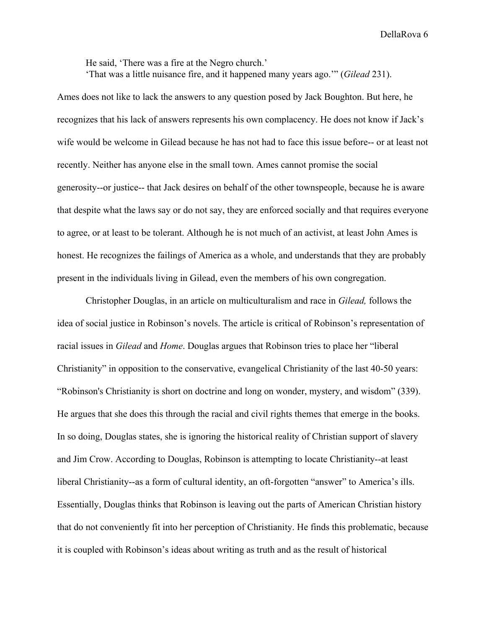He said, 'There was a fire at the Negro church.' 'That was a little nuisance fire, and it happened many years ago.'" (*Gilead* 231).

Ames does not like to lack the answers to any question posed by Jack Boughton. But here, he recognizes that his lack of answers represents his own complacency. He does not know if Jack's wife would be welcome in Gilead because he has not had to face this issue before-- or at least not recently. Neither has anyone else in the small town. Ames cannot promise the social generosity--or justice-- that Jack desires on behalf of the other townspeople, because he is aware that despite what the laws say or do not say, they are enforced socially and that requires everyone to agree, or at least to be tolerant. Although he is not much of an activist, at least John Ames is honest. He recognizes the failings of America as a whole, and understands that they are probably present in the individuals living in Gilead, even the members of his own congregation.

Christopher Douglas, in an article on multiculturalism and race in *Gilead,* follows the idea of social justice in Robinson's novels. The article is critical of Robinson's representation of racial issues in *Gilead* and *Home*. Douglas argues that Robinson tries to place her "liberal Christianity" in opposition to the conservative, evangelical Christianity of the last 40-50 years: "Robinson's Christianity is short on doctrine and long on wonder, mystery, and wisdom" (339). He argues that she does this through the racial and civil rights themes that emerge in the books. In so doing, Douglas states, she is ignoring the historical reality of Christian support of slavery and Jim Crow. According to Douglas, Robinson is attempting to locate Christianity--at least liberal Christianity--as a form of cultural identity, an oft-forgotten "answer" to America's ills. Essentially, Douglas thinks that Robinson is leaving out the parts of American Christian history that do not conveniently fit into her perception of Christianity. He finds this problematic, because it is coupled with Robinson's ideas about writing as truth and as the result of historical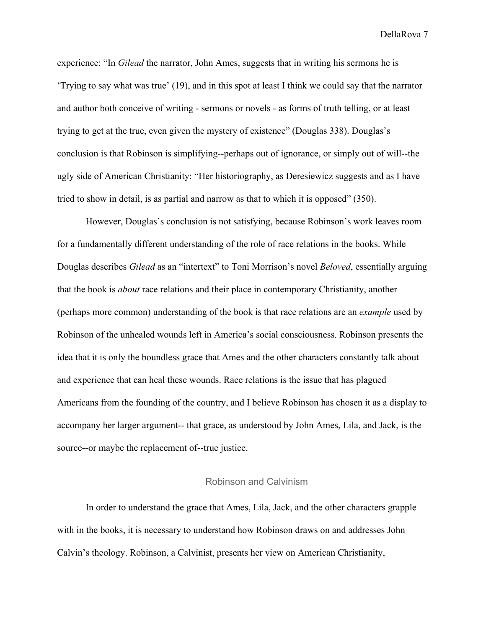experience: "In *Gilead* the narrator, John Ames, suggests that in writing his sermons he is 'Trying to say what was true' (19), and in this spot at least I think we could say that the narrator and author both conceive of writing - sermons or novels - as forms of truth telling, or at least trying to get at the true, even given the mystery of existence" (Douglas 338). Douglas's conclusion is that Robinson is simplifying--perhaps out of ignorance, or simply out of will--the ugly side of American Christianity: "Her historiography, as Deresiewicz suggests and as I have tried to show in detail, is as partial and narrow as that to which it is opposed" (350).

However, Douglas's conclusion is not satisfying, because Robinson's work leaves room for a fundamentally different understanding of the role of race relations in the books. While Douglas describes *Gilead* as an "intertext" to Toni Morrison's novel *Beloved*, essentially arguing that the book is *about* race relations and their place in contemporary Christianity, another (perhaps more common) understanding of the book is that race relations are an *example* used by Robinson of the unhealed wounds left in America's social consciousness. Robinson presents the idea that it is only the boundless grace that Ames and the other characters constantly talk about and experience that can heal these wounds. Race relations is the issue that has plagued Americans from the founding of the country, and I believe Robinson has chosen it as a display to accompany her larger argument-- that grace, as understood by John Ames, Lila, and Jack, is the source--or maybe the replacement of--true justice.

# Robinson and Calvinism

In order to understand the grace that Ames, Lila, Jack, and the other characters grapple with in the books, it is necessary to understand how Robinson draws on and addresses John Calvin's theology. Robinson, a Calvinist, presents her view on American Christianity,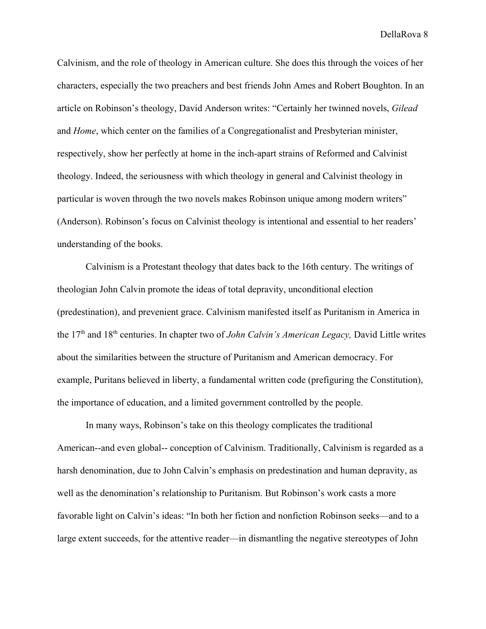Calvinism, and the role of theology in American culture. She does this through the voices of her characters, especially the two preachers and best friends John Ames and Robert Boughton. In an article on Robinson's theology, David Anderson writes: "Certainly her twinned novels, *Gilead* and *Home*, which center on the families of a Congregationalist and Presbyterian minister, respectively, show her perfectly at home in the inch-apart strains of Reformed and Calvinist theology. Indeed, the seriousness with which theology in general and Calvinist theology in particular is woven through the two novels makes Robinson unique among modern writers" (Anderson). Robinson's focus on Calvinist theology is intentional and essential to her readers' understanding of the books.

Calvinism is a Protestant theology that dates back to the 16th century. The writings of theologian John Calvin promote the ideas of total depravity, unconditional election (predestination), and prevenient grace. Calvinism manifested itself as Puritanism in America in the 17<sup>th</sup> and 18<sup>th</sup> centuries. In chapter two of *John Calvin's American Legacy*, David Little writes about the similarities between the structure of Puritanism and American democracy. For example, Puritans believed in liberty, a fundamental written code (prefiguring the Constitution), the importance of education, and a limited government controlled by the people.

In many ways, Robinson's take on this theology complicates the traditional American--and even global-- conception of Calvinism. Traditionally, Calvinism is regarded as a harsh denomination, due to John Calvin's emphasis on predestination and human depravity, as well as the denomination's relationship to Puritanism. But Robinson's work casts a more favorable light on Calvin's ideas: "In both her fiction and nonfiction Robinson seeks—and to a large extent succeeds, for the attentive reader—in dismantling the negative stereotypes of John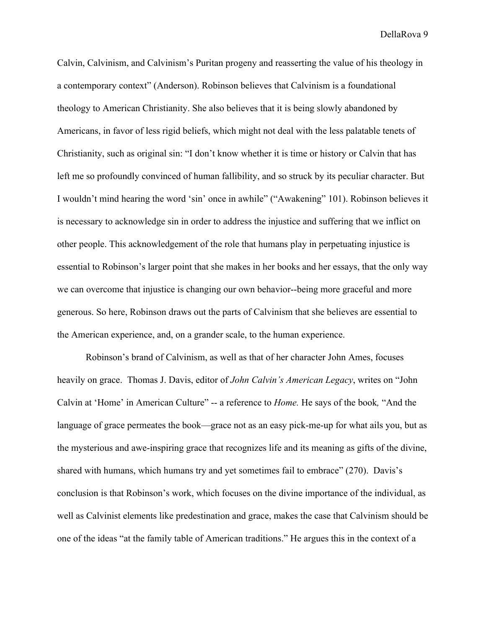Calvin, Calvinism, and Calvinism's Puritan progeny and reasserting the value of his theology in a contemporary context" (Anderson). Robinson believes that Calvinism is a foundational theology to American Christianity. She also believes that it is being slowly abandoned by Americans, in favor of less rigid beliefs, which might not deal with the less palatable tenets of Christianity, such as original sin: "I don't know whether it is time or history or Calvin that has left me so profoundly convinced of human fallibility, and so struck by its peculiar character. But I wouldn't mind hearing the word 'sin' once in awhile" ("Awakening" 101). Robinson believes it is necessary to acknowledge sin in order to address the injustice and suffering that we inflict on other people. This acknowledgement of the role that humans play in perpetuating injustice is essential to Robinson's larger point that she makes in her books and her essays, that the only way we can overcome that injustice is changing our own behavior--being more graceful and more generous. So here, Robinson draws out the parts of Calvinism that she believes are essential to the American experience, and, on a grander scale, to the human experience.

Robinson's brand of Calvinism, as well as that of her character John Ames, focuses heavily on grace. Thomas J. Davis, editor of *John Calvin's American Legacy*, writes on "John Calvin at 'Home' in American Culture" -- a reference to *Home.* He says of the book*,* "And the language of grace permeates the book—grace not as an easy pick-me-up for what ails you, but as the mysterious and awe-inspiring grace that recognizes life and its meaning as gifts of the divine, shared with humans, which humans try and yet sometimes fail to embrace" (270). Davis's conclusion is that Robinson's work, which focuses on the divine importance of the individual, as well as Calvinist elements like predestination and grace, makes the case that Calvinism should be one of the ideas "at the family table of American traditions." He argues this in the context of a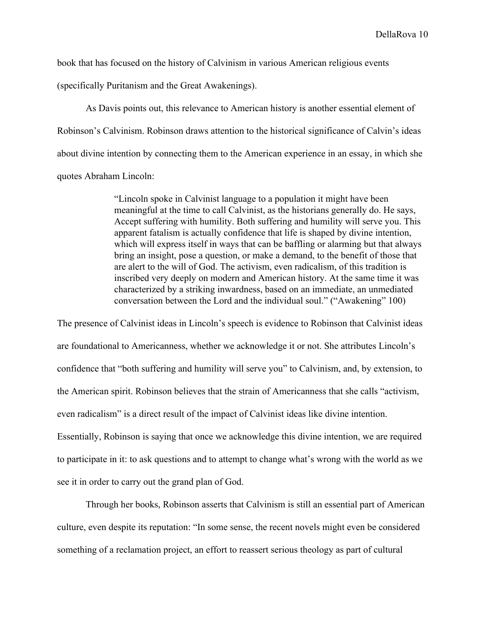book that has focused on the history of Calvinism in various American religious events

(specifically Puritanism and the Great Awakenings).

As Davis points out, this relevance to American history is another essential element of Robinson's Calvinism. Robinson draws attention to the historical significance of Calvin's ideas about divine intention by connecting them to the American experience in an essay, in which she quotes Abraham Lincoln:

> "Lincoln spoke in Calvinist language to a population it might have been meaningful at the time to call Calvinist, as the historians generally do. He says, Accept suffering with humility. Both suffering and humility will serve you. This apparent fatalism is actually confidence that life is shaped by divine intention, which will express itself in ways that can be baffling or alarming but that always bring an insight, pose a question, or make a demand, to the benefit of those that are alert to the will of God. The activism, even radicalism, of this tradition is inscribed very deeply on modern and American history. At the same time it was characterized by a striking inwardness, based on an immediate, an unmediated conversation between the Lord and the individual soul." ("Awakening" 100)

The presence of Calvinist ideas in Lincoln's speech is evidence to Robinson that Calvinist ideas are foundational to Americanness, whether we acknowledge it or not. She attributes Lincoln's confidence that "both suffering and humility will serve you" to Calvinism, and, by extension, to the American spirit. Robinson believes that the strain of Americanness that she calls "activism, even radicalism" is a direct result of the impact of Calvinist ideas like divine intention. Essentially, Robinson is saying that once we acknowledge this divine intention, we are required to participate in it: to ask questions and to attempt to change what's wrong with the world as we see it in order to carry out the grand plan of God.

Through her books, Robinson asserts that Calvinism is still an essential part of American culture, even despite its reputation: "In some sense, the recent novels might even be considered something of a reclamation project, an effort to reassert serious theology as part of cultural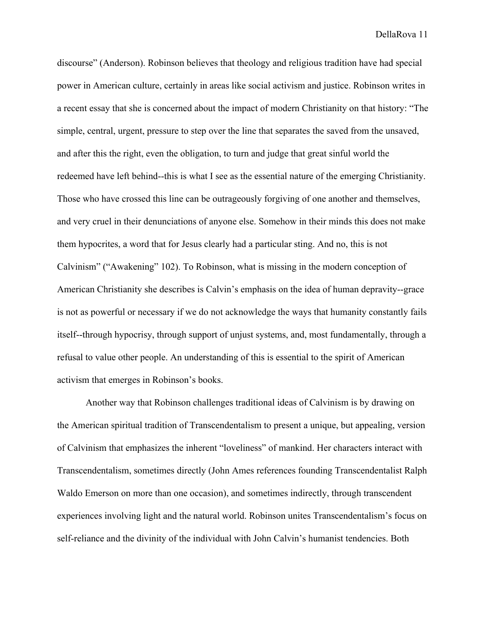discourse" (Anderson). Robinson believes that theology and religious tradition have had special power in American culture, certainly in areas like social activism and justice. Robinson writes in a recent essay that she is concerned about the impact of modern Christianity on that history: "The simple, central, urgent, pressure to step over the line that separates the saved from the unsaved, and after this the right, even the obligation, to turn and judge that great sinful world the redeemed have left behind--this is what I see as the essential nature of the emerging Christianity. Those who have crossed this line can be outrageously forgiving of one another and themselves, and very cruel in their denunciations of anyone else. Somehow in their minds this does not make them hypocrites, a word that for Jesus clearly had a particular sting. And no, this is not Calvinism" ("Awakening" 102). To Robinson, what is missing in the modern conception of American Christianity she describes is Calvin's emphasis on the idea of human depravity--grace is not as powerful or necessary if we do not acknowledge the ways that humanity constantly fails itself--through hypocrisy, through support of unjust systems, and, most fundamentally, through a refusal to value other people. An understanding of this is essential to the spirit of American activism that emerges in Robinson's books.

Another way that Robinson challenges traditional ideas of Calvinism is by drawing on the American spiritual tradition of Transcendentalism to present a unique, but appealing, version of Calvinism that emphasizes the inherent "loveliness" of mankind. Her characters interact with Transcendentalism, sometimes directly (John Ames references founding Transcendentalist Ralph Waldo Emerson on more than one occasion), and sometimes indirectly, through transcendent experiences involving light and the natural world. Robinson unites Transcendentalism's focus on self-reliance and the divinity of the individual with John Calvin's humanist tendencies. Both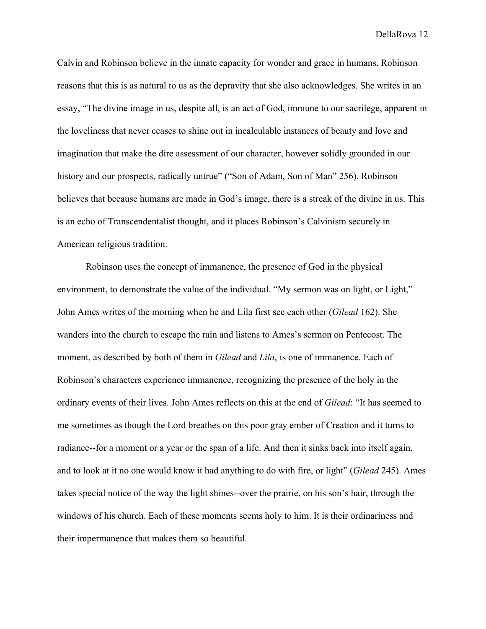Calvin and Robinson believe in the innate capacity for wonder and grace in humans. Robinson reasons that this is as natural to us as the depravity that she also acknowledges. She writes in an essay, "The divine image in us, despite all, is an act of God, immune to our sacrilege, apparent in the loveliness that never ceases to shine out in incalculable instances of beauty and love and imagination that make the dire assessment of our character, however solidly grounded in our history and our prospects, radically untrue" ("Son of Adam, Son of Man" 256). Robinson believes that because humans are made in God's image, there is a streak of the divine in us. This is an echo of Transcendentalist thought, and it places Robinson's Calvinism securely in American religious tradition.

Robinson uses the concept of immanence, the presence of God in the physical environment, to demonstrate the value of the individual. "My sermon was on light, or Light," John Ames writes of the morning when he and Lila first see each other (*Gilead* 162). She wanders into the church to escape the rain and listens to Ames's sermon on Pentecost. The moment, as described by both of them in *Gilead* and *Lila*, is one of immanence. Each of Robinson's characters experience immanence, recognizing the presence of the holy in the ordinary events of their lives. John Ames reflects on this at the end of *Gilead*: "It has seemed to me sometimes as though the Lord breathes on this poor gray ember of Creation and it turns to radiance--for a moment or a year or the span of a life. And then it sinks back into itself again, and to look at it no one would know it had anything to do with fire, or light" (*Gilead* 245). Ames takes special notice of the way the light shines--over the prairie, on his son's hair, through the windows of his church. Each of these moments seems holy to him. It is their ordinariness and their impermanence that makes them so beautiful.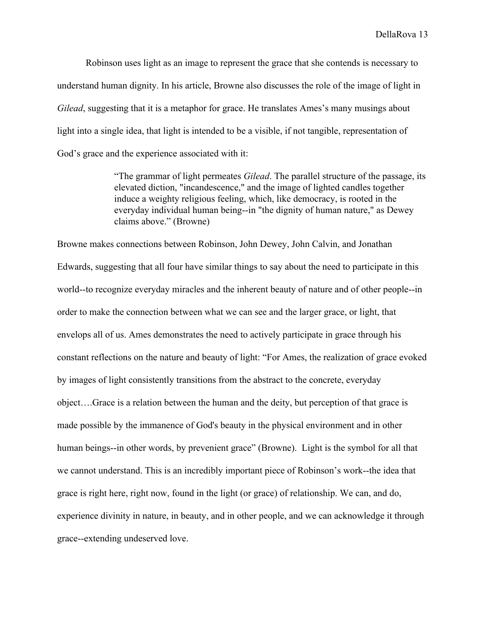Robinson uses light as an image to represent the grace that she contends is necessary to understand human dignity. In his article, Browne also discusses the role of the image of light in *Gilead*, suggesting that it is a metaphor for grace. He translates Ames's many musings about light into a single idea, that light is intended to be a visible, if not tangible, representation of God's grace and the experience associated with it:

> "The grammar of light permeates *Gilead*. The parallel structure of the passage, its elevated diction, "incandescence," and the image of lighted candles together induce a weighty religious feeling, which, like democracy, is rooted in the everyday individual human being--in "the dignity of human nature," as Dewey claims above." (Browne)

Browne makes connections between Robinson, John Dewey, John Calvin, and Jonathan Edwards, suggesting that all four have similar things to say about the need to participate in this world--to recognize everyday miracles and the inherent beauty of nature and of other people--in order to make the connection between what we can see and the larger grace, or light, that envelops all of us. Ames demonstrates the need to actively participate in grace through his constant reflections on the nature and beauty of light: "For Ames, the realization of grace evoked by images of light consistently transitions from the abstract to the concrete, everyday object….Grace is a relation between the human and the deity, but perception of that grace is made possible by the immanence of God's beauty in the physical environment and in other human beings--in other words, by prevenient grace" (Browne). Light is the symbol for all that we cannot understand. This is an incredibly important piece of Robinson's work--the idea that grace is right here, right now, found in the light (or grace) of relationship. We can, and do, experience divinity in nature, in beauty, and in other people, and we can acknowledge it through grace--extending undeserved love.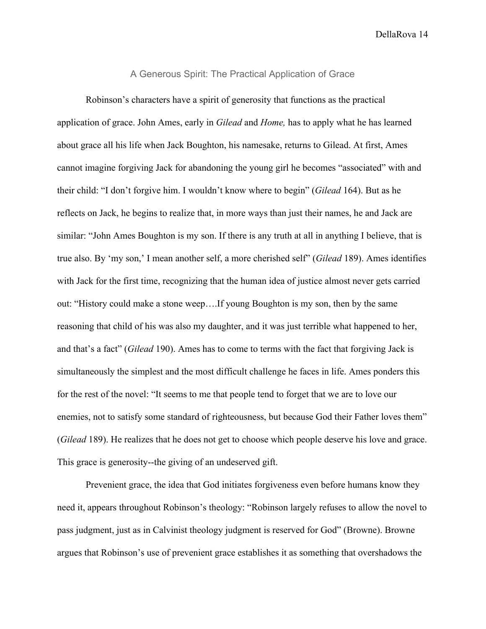# A Generous Spirit: The Practical Application of Grace

Robinson's characters have a spirit of generosity that functions as the practical application of grace. John Ames, early in *Gilead* and *Home,* has to apply what he has learned about grace all his life when Jack Boughton, his namesake, returns to Gilead. At first, Ames cannot imagine forgiving Jack for abandoning the young girl he becomes "associated" with and their child: "I don't forgive him. I wouldn't know where to begin" (*Gilead* 164). But as he reflects on Jack, he begins to realize that, in more ways than just their names, he and Jack are similar: "John Ames Boughton is my son. If there is any truth at all in anything I believe, that is true also. By 'my son,' I mean another self, a more cherished self" (*Gilead* 189). Ames identifies with Jack for the first time, recognizing that the human idea of justice almost never gets carried out: "History could make a stone weep….If young Boughton is my son, then by the same reasoning that child of his was also my daughter, and it was just terrible what happened to her, and that's a fact" (*Gilead* 190). Ames has to come to terms with the fact that forgiving Jack is simultaneously the simplest and the most difficult challenge he faces in life. Ames ponders this for the rest of the novel: "It seems to me that people tend to forget that we are to love our enemies, not to satisfy some standard of righteousness, but because God their Father loves them" (*Gilead* 189). He realizes that he does not get to choose which people deserve his love and grace. This grace is generosity--the giving of an undeserved gift.

Prevenient grace, the idea that God initiates forgiveness even before humans know they need it, appears throughout Robinson's theology: "Robinson largely refuses to allow the novel to pass judgment, just as in Calvinist theology judgment is reserved for God" (Browne). Browne argues that Robinson's use of prevenient grace establishes it as something that overshadows the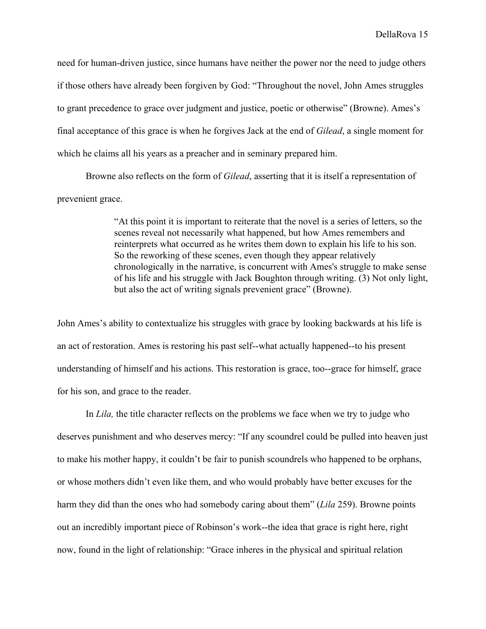need for human-driven justice, since humans have neither the power nor the need to judge others if those others have already been forgiven by God: "Throughout the novel, John Ames struggles to grant precedence to grace over judgment and justice, poetic or otherwise" (Browne). Ames's final acceptance of this grace is when he forgives Jack at the end of *Gilead*, a single moment for which he claims all his years as a preacher and in seminary prepared him.

Browne also reflects on the form of *Gilead*, asserting that it is itself a representation of prevenient grace.

> "At this point it is important to reiterate that the novel is a series of letters, so the scenes reveal not necessarily what happened, but how Ames remembers and reinterprets what occurred as he writes them down to explain his life to his son. So the reworking of these scenes, even though they appear relatively chronologically in the narrative, is concurrent with Ames's struggle to make sense of his life and his struggle with Jack Boughton through writing. (3) Not only light, but also the act of writing signals prevenient grace" (Browne).

John Ames's ability to contextualize his struggles with grace by looking backwards at his life is an act of restoration. Ames is restoring his past self--what actually happened--to his present understanding of himself and his actions. This restoration is grace, too--grace for himself, grace for his son, and grace to the reader.

In *Lila,* the title character reflects on the problems we face when we try to judge who deserves punishment and who deserves mercy: "If any scoundrel could be pulled into heaven just to make his mother happy, it couldn't be fair to punish scoundrels who happened to be orphans, or whose mothers didn't even like them, and who would probably have better excuses for the harm they did than the ones who had somebody caring about them" (*Lila* 259). Browne points out an incredibly important piece of Robinson's work--the idea that grace is right here, right now, found in the light of relationship: "Grace inheres in the physical and spiritual relation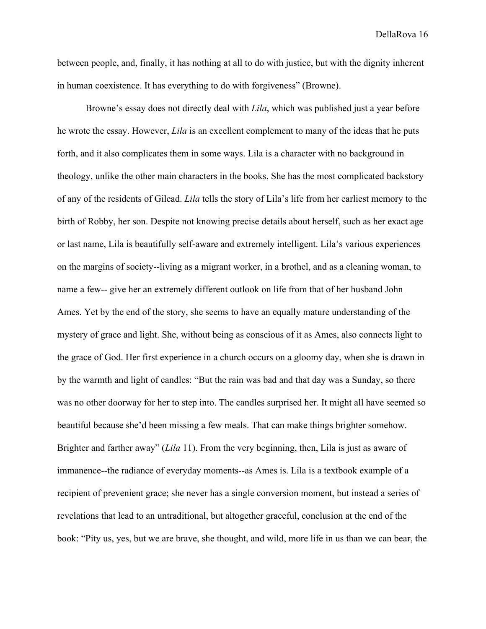between people, and, finally, it has nothing at all to do with justice, but with the dignity inherent in human coexistence. It has everything to do with forgiveness" (Browne).

Browne's essay does not directly deal with *Lila*, which was published just a year before he wrote the essay. However, *Lila* is an excellent complement to many of the ideas that he puts forth, and it also complicates them in some ways. Lila is a character with no background in theology, unlike the other main characters in the books. She has the most complicated backstory of any of the residents of Gilead. *Lila* tells the story of Lila's life from her earliest memory to the birth of Robby, her son. Despite not knowing precise details about herself, such as her exact age or last name, Lila is beautifully self-aware and extremely intelligent. Lila's various experiences on the margins of society--living as a migrant worker, in a brothel, and as a cleaning woman, to name a few-- give her an extremely different outlook on life from that of her husband John Ames. Yet by the end of the story, she seems to have an equally mature understanding of the mystery of grace and light. She, without being as conscious of it as Ames, also connects light to the grace of God. Her first experience in a church occurs on a gloomy day, when she is drawn in by the warmth and light of candles: "But the rain was bad and that day was a Sunday, so there was no other doorway for her to step into. The candles surprised her. It might all have seemed so beautiful because she'd been missing a few meals. That can make things brighter somehow. Brighter and farther away" (*Lila* 11). From the very beginning, then, Lila is just as aware of immanence--the radiance of everyday moments--as Ames is. Lila is a textbook example of a recipient of prevenient grace; she never has a single conversion moment, but instead a series of revelations that lead to an untraditional, but altogether graceful, conclusion at the end of the book: "Pity us, yes, but we are brave, she thought, and wild, more life in us than we can bear, the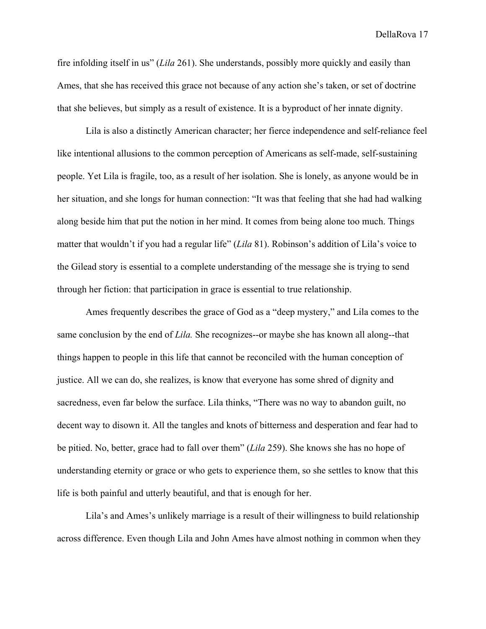fire infolding itself in us" (*Lila* 261). She understands, possibly more quickly and easily than Ames, that she has received this grace not because of any action she's taken, or set of doctrine that she believes, but simply as a result of existence. It is a byproduct of her innate dignity.

Lila is also a distinctly American character; her fierce independence and self-reliance feel like intentional allusions to the common perception of Americans as self-made, self-sustaining people. Yet Lila is fragile, too, as a result of her isolation. She is lonely, as anyone would be in her situation, and she longs for human connection: "It was that feeling that she had had walking along beside him that put the notion in her mind. It comes from being alone too much. Things matter that wouldn't if you had a regular life" (*Lila* 81). Robinson's addition of Lila's voice to the Gilead story is essential to a complete understanding of the message she is trying to send through her fiction: that participation in grace is essential to true relationship.

Ames frequently describes the grace of God as a "deep mystery," and Lila comes to the same conclusion by the end of *Lila.* She recognizes--or maybe she has known all along--that things happen to people in this life that cannot be reconciled with the human conception of justice. All we can do, she realizes, is know that everyone has some shred of dignity and sacredness, even far below the surface. Lila thinks, "There was no way to abandon guilt, no decent way to disown it. All the tangles and knots of bitterness and desperation and fear had to be pitied. No, better, grace had to fall over them" (*Lila* 259). She knows she has no hope of understanding eternity or grace or who gets to experience them, so she settles to know that this life is both painful and utterly beautiful, and that is enough for her.

Lila's and Ames's unlikely marriage is a result of their willingness to build relationship across difference. Even though Lila and John Ames have almost nothing in common when they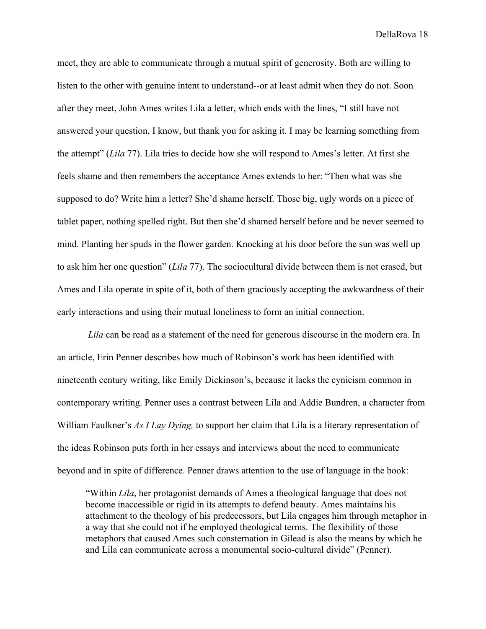meet, they are able to communicate through a mutual spirit of generosity. Both are willing to listen to the other with genuine intent to understand--or at least admit when they do not. Soon after they meet, John Ames writes Lila a letter, which ends with the lines, "I still have not answered your question, I know, but thank you for asking it. I may be learning something from the attempt" (*Lila* 77). Lila tries to decide how she will respond to Ames's letter. At first she feels shame and then remembers the acceptance Ames extends to her: "Then what was she supposed to do? Write him a letter? She'd shame herself. Those big, ugly words on a piece of tablet paper, nothing spelled right. But then she'd shamed herself before and he never seemed to mind. Planting her spuds in the flower garden. Knocking at his door before the sun was well up to ask him her one question" (*Lila* 77). The sociocultural divide between them is not erased, but Ames and Lila operate in spite of it, both of them graciously accepting the awkwardness of their early interactions and using their mutual loneliness to form an initial connection.

*Lila* can be read as a statement of the need for generous discourse in the modern era. In an article, Erin Penner describes how much of Robinson's work has been identified with nineteenth century writing, like Emily Dickinson's, because it lacks the cynicism common in contemporary writing. Penner uses a contrast between Lila and Addie Bundren, a character from William Faulkner's *As I Lay Dying,* to support her claim that Lila is a literary representation of the ideas Robinson puts forth in her essays and interviews about the need to communicate beyond and in spite of difference. Penner draws attention to the use of language in the book:

"Within *Lila*, her protagonist demands of Ames a theological language that does not become inaccessible or rigid in its attempts to defend beauty. Ames maintains his attachment to the theology of his predecessors, but Lila engages him through metaphor in a way that she could not if he employed theological terms. The flexibility of those metaphors that caused Ames such consternation in Gilead is also the means by which he and Lila can communicate across a monumental socio-cultural divide" (Penner).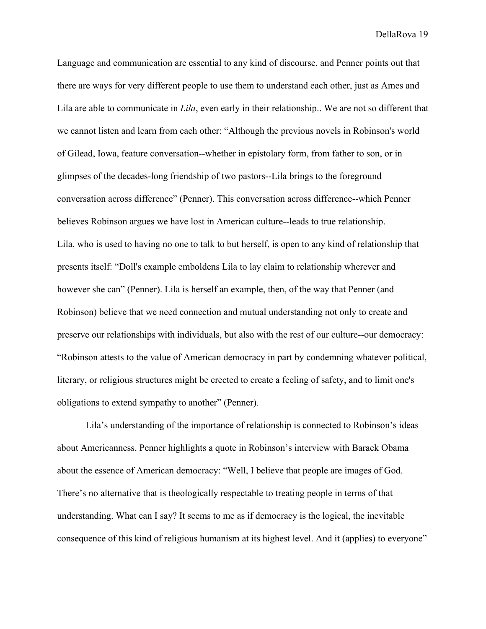Language and communication are essential to any kind of discourse, and Penner points out that there are ways for very different people to use them to understand each other, just as Ames and Lila are able to communicate in *Lila*, even early in their relationship.. We are not so different that we cannot listen and learn from each other: "Although the previous novels in Robinson's world of Gilead, Iowa, feature conversation--whether in epistolary form, from father to son, or in glimpses of the decades-long friendship of two pastors--Lila brings to the foreground conversation across difference" (Penner). This conversation across difference--which Penner believes Robinson argues we have lost in American culture--leads to true relationship. Lila, who is used to having no one to talk to but herself, is open to any kind of relationship that presents itself: "Doll's example emboldens Lila to lay claim to relationship wherever and however she can" (Penner). Lila is herself an example, then, of the way that Penner (and Robinson) believe that we need connection and mutual understanding not only to create and preserve our relationships with individuals, but also with the rest of our culture--our democracy: "Robinson attests to the value of American democracy in part by condemning whatever political, literary, or religious structures might be erected to create a feeling of safety, and to limit one's obligations to extend sympathy to another" (Penner).

Lila's understanding of the importance of relationship is connected to Robinson's ideas about Americanness. Penner highlights a quote in Robinson's interview with Barack Obama about the essence of American democracy: "Well, I believe that people are images of God. There's no alternative that is theologically respectable to treating people in terms of that understanding. What can I say? It seems to me as if democracy is the logical, the inevitable consequence of this kind of religious humanism at its highest level. And it (applies) to everyone"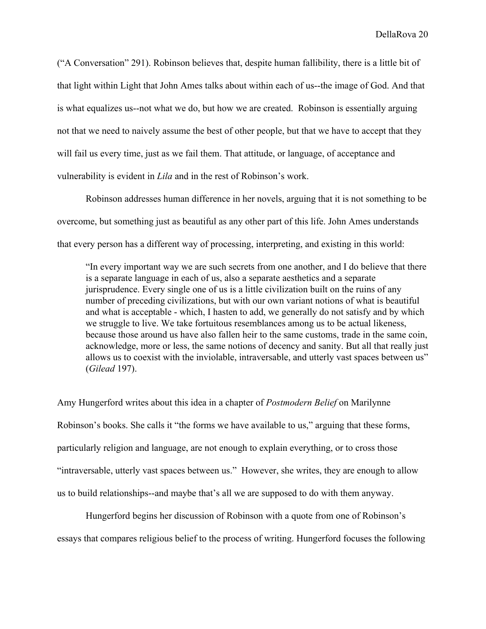("A Conversation" 291). Robinson believes that, despite human fallibility, there is a little bit of that light within Light that John Ames talks about within each of us--the image of God. And that is what equalizes us--not what we do, but how we are created. Robinson is essentially arguing not that we need to naively assume the best of other people, but that we have to accept that they will fail us every time, just as we fail them. That attitude, or language, of acceptance and vulnerability is evident in *Lila* and in the rest of Robinson's work.

Robinson addresses human difference in her novels, arguing that it is not something to be overcome, but something just as beautiful as any other part of this life. John Ames understands that every person has a different way of processing, interpreting, and existing in this world:

"In every important way we are such secrets from one another, and I do believe that there is a separate language in each of us, also a separate aesthetics and a separate jurisprudence. Every single one of us is a little civilization built on the ruins of any number of preceding civilizations, but with our own variant notions of what is beautiful and what is acceptable - which, I hasten to add, we generally do not satisfy and by which we struggle to live. We take fortuitous resemblances among us to be actual likeness, because those around us have also fallen heir to the same customs, trade in the same coin, acknowledge, more or less, the same notions of decency and sanity. But all that really just allows us to coexist with the inviolable, intraversable, and utterly vast spaces between us" (*Gilead* 197).

Amy Hungerford writes about this idea in a chapter of *Postmodern Belief* on Marilynne Robinson's books. She calls it "the forms we have available to us," arguing that these forms, particularly religion and language, are not enough to explain everything, or to cross those "intraversable, utterly vast spaces between us." However, she writes, they are enough to allow us to build relationships--and maybe that's all we are supposed to do with them anyway.

Hungerford begins her discussion of Robinson with a quote from one of Robinson's essays that compares religious belief to the process of writing. Hungerford focuses the following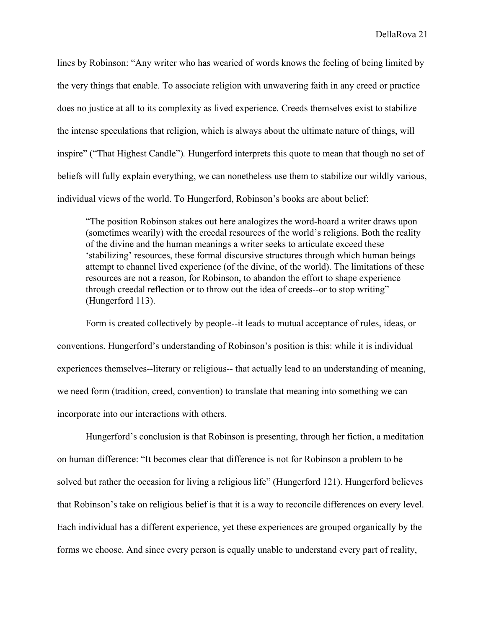lines by Robinson: "Any writer who has wearied of words knows the feeling of being limited by the very things that enable. To associate religion with unwavering faith in any creed or practice does no justice at all to its complexity as lived experience. Creeds themselves exist to stabilize the intense speculations that religion, which is always about the ultimate nature of things, will inspire" ("That Highest Candle")*.* Hungerford interprets this quote to mean that though no set of beliefs will fully explain everything, we can nonetheless use them to stabilize our wildly various, individual views of the world. To Hungerford, Robinson's books are about belief:

"The position Robinson stakes out here analogizes the word-hoard a writer draws upon (sometimes wearily) with the creedal resources of the world's religions. Both the reality of the divine and the human meanings a writer seeks to articulate exceed these 'stabilizing' resources, these formal discursive structures through which human beings attempt to channel lived experience (of the divine, of the world). The limitations of these resources are not a reason, for Robinson, to abandon the effort to shape experience through creedal reflection or to throw out the idea of creeds--or to stop writing" (Hungerford 113).

Form is created collectively by people--it leads to mutual acceptance of rules, ideas, or conventions. Hungerford's understanding of Robinson's position is this: while it is individual experiences themselves--literary or religious-- that actually lead to an understanding of meaning, we need form (tradition, creed, convention) to translate that meaning into something we can incorporate into our interactions with others.

Hungerford's conclusion is that Robinson is presenting, through her fiction, a meditation on human difference: "It becomes clear that difference is not for Robinson a problem to be solved but rather the occasion for living a religious life" (Hungerford 121). Hungerford believes that Robinson's take on religious belief is that it is a way to reconcile differences on every level. Each individual has a different experience, yet these experiences are grouped organically by the forms we choose. And since every person is equally unable to understand every part of reality,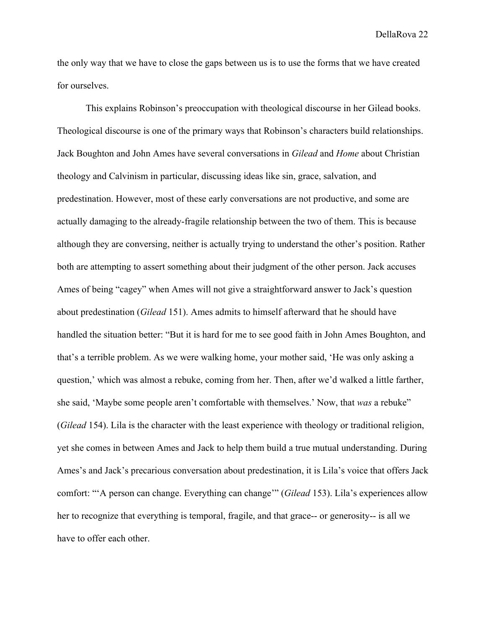the only way that we have to close the gaps between us is to use the forms that we have created for ourselves.

This explains Robinson's preoccupation with theological discourse in her Gilead books. Theological discourse is one of the primary ways that Robinson's characters build relationships. Jack Boughton and John Ames have several conversations in *Gilead* and *Home* about Christian theology and Calvinism in particular, discussing ideas like sin, grace, salvation, and predestination. However, most of these early conversations are not productive, and some are actually damaging to the already-fragile relationship between the two of them. This is because although they are conversing, neither is actually trying to understand the other's position. Rather both are attempting to assert something about their judgment of the other person. Jack accuses Ames of being "cagey" when Ames will not give a straightforward answer to Jack's question about predestination (*Gilead* 151). Ames admits to himself afterward that he should have handled the situation better: "But it is hard for me to see good faith in John Ames Boughton, and that's a terrible problem. As we were walking home, your mother said, 'He was only asking a question,' which was almost a rebuke, coming from her. Then, after we'd walked a little farther, she said, 'Maybe some people aren't comfortable with themselves.' Now, that *was* a rebuke" (*Gilead* 154). Lila is the character with the least experience with theology or traditional religion, yet she comes in between Ames and Jack to help them build a true mutual understanding. During Ames's and Jack's precarious conversation about predestination, it is Lila's voice that offers Jack comfort: "'A person can change. Everything can change'" (*Gilead* 153). Lila's experiences allow her to recognize that everything is temporal, fragile, and that grace-- or generosity-- is all we have to offer each other.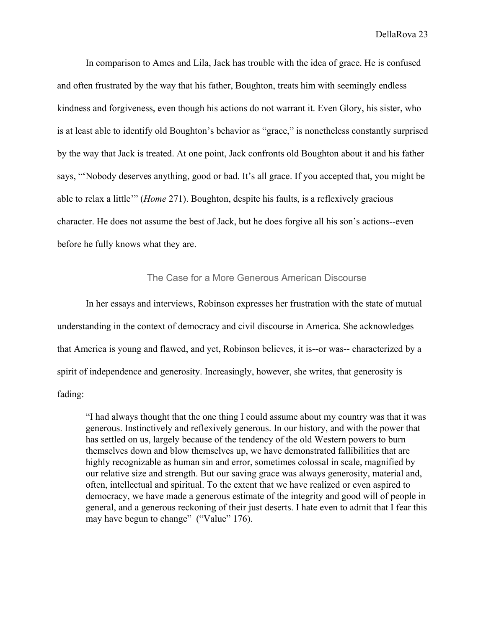In comparison to Ames and Lila, Jack has trouble with the idea of grace. He is confused and often frustrated by the way that his father, Boughton, treats him with seemingly endless kindness and forgiveness, even though his actions do not warrant it. Even Glory, his sister, who is at least able to identify old Boughton's behavior as "grace," is nonetheless constantly surprised by the way that Jack is treated. At one point, Jack confronts old Boughton about it and his father says, "'Nobody deserves anything, good or bad. It's all grace. If you accepted that, you might be able to relax a little'" (*Home* 271). Boughton, despite his faults, is a reflexively gracious character. He does not assume the best of Jack, but he does forgive all his son's actions--even before he fully knows what they are.

# The Case for a More Generous American Discourse

In her essays and interviews, Robinson expresses her frustration with the state of mutual understanding in the context of democracy and civil discourse in America. She acknowledges that America is young and flawed, and yet, Robinson believes, it is--or was-- characterized by a spirit of independence and generosity. Increasingly, however, she writes, that generosity is fading:

"I had always thought that the one thing I could assume about my country was that it was generous. Instinctively and reflexively generous. In our history, and with the power that has settled on us, largely because of the tendency of the old Western powers to burn themselves down and blow themselves up, we have demonstrated fallibilities that are highly recognizable as human sin and error, sometimes colossal in scale, magnified by our relative size and strength. But our saving grace was always generosity, material and, often, intellectual and spiritual. To the extent that we have realized or even aspired to democracy, we have made a generous estimate of the integrity and good will of people in general, and a generous reckoning of their just deserts. I hate even to admit that I fear this may have begun to change" ("Value" 176).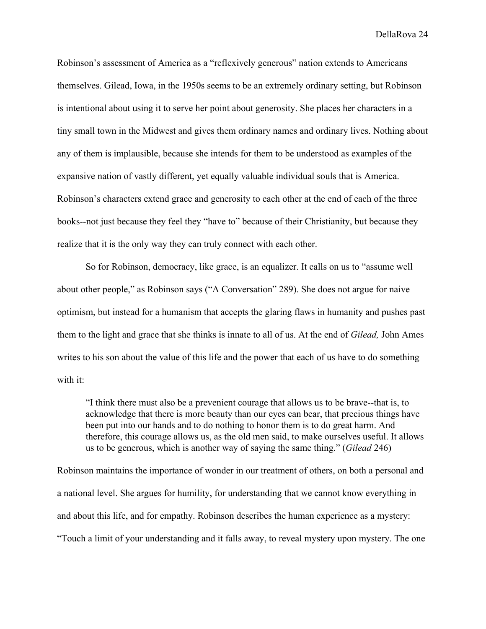Robinson's assessment of America as a "reflexively generous" nation extends to Americans themselves. Gilead, Iowa, in the 1950s seems to be an extremely ordinary setting, but Robinson is intentional about using it to serve her point about generosity. She places her characters in a tiny small town in the Midwest and gives them ordinary names and ordinary lives. Nothing about any of them is implausible, because she intends for them to be understood as examples of the expansive nation of vastly different, yet equally valuable individual souls that is America. Robinson's characters extend grace and generosity to each other at the end of each of the three books--not just because they feel they "have to" because of their Christianity, but because they realize that it is the only way they can truly connect with each other.

So for Robinson, democracy, like grace, is an equalizer. It calls on us to "assume well about other people," as Robinson says ("A Conversation" 289). She does not argue for naive optimism, but instead for a humanism that accepts the glaring flaws in humanity and pushes past them to the light and grace that she thinks is innate to all of us. At the end of *Gilead,* John Ames writes to his son about the value of this life and the power that each of us have to do something with it:

"I think there must also be a prevenient courage that allows us to be brave--that is, to acknowledge that there is more beauty than our eyes can bear, that precious things have been put into our hands and to do nothing to honor them is to do great harm. And therefore, this courage allows us, as the old men said, to make ourselves useful. It allows us to be generous, which is another way of saying the same thing." (*Gilead* 246)

Robinson maintains the importance of wonder in our treatment of others, on both a personal and a national level. She argues for humility, for understanding that we cannot know everything in and about this life, and for empathy. Robinson describes the human experience as a mystery: "Touch a limit of your understanding and it falls away, to reveal mystery upon mystery. The one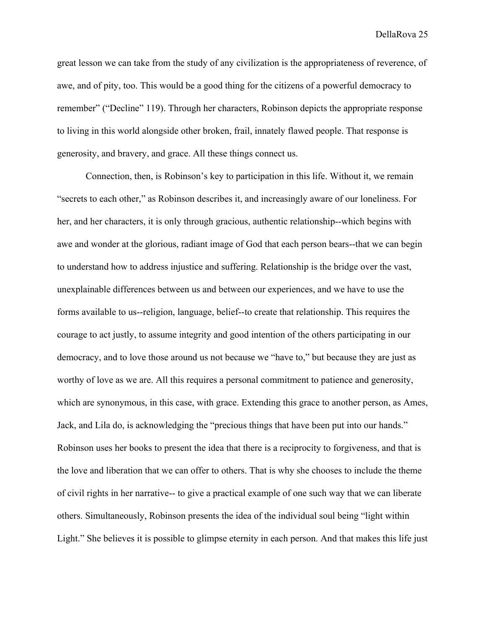great lesson we can take from the study of any civilization is the appropriateness of reverence, of awe, and of pity, too. This would be a good thing for the citizens of a powerful democracy to remember" ("Decline" 119). Through her characters, Robinson depicts the appropriate response to living in this world alongside other broken, frail, innately flawed people. That response is generosity, and bravery, and grace. All these things connect us.

Connection, then, is Robinson's key to participation in this life. Without it, we remain "secrets to each other," as Robinson describes it, and increasingly aware of our loneliness. For her, and her characters, it is only through gracious, authentic relationship--which begins with awe and wonder at the glorious, radiant image of God that each person bears--that we can begin to understand how to address injustice and suffering. Relationship is the bridge over the vast, unexplainable differences between us and between our experiences, and we have to use the forms available to us--religion, language, belief--to create that relationship. This requires the courage to act justly, to assume integrity and good intention of the others participating in our democracy, and to love those around us not because we "have to," but because they are just as worthy of love as we are. All this requires a personal commitment to patience and generosity, which are synonymous, in this case, with grace. Extending this grace to another person, as Ames, Jack, and Lila do, is acknowledging the "precious things that have been put into our hands." Robinson uses her books to present the idea that there is a reciprocity to forgiveness, and that is the love and liberation that we can offer to others. That is why she chooses to include the theme of civil rights in her narrative-- to give a practical example of one such way that we can liberate others. Simultaneously, Robinson presents the idea of the individual soul being "light within Light." She believes it is possible to glimpse eternity in each person. And that makes this life just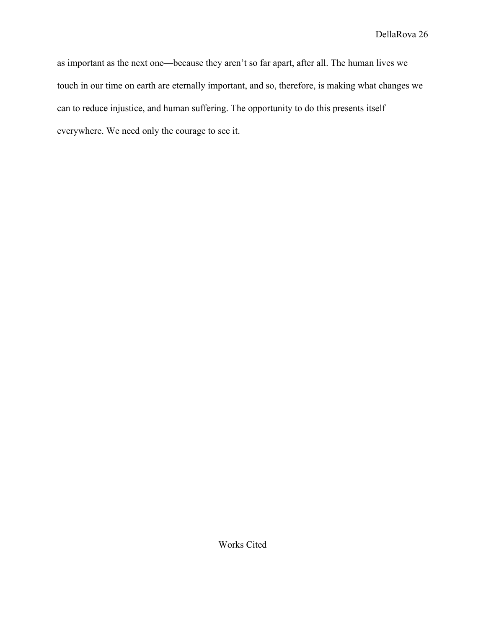as important as the next one—because they aren't so far apart, after all. The human lives we touch in our time on earth are eternally important, and so, therefore, is making what changes we can to reduce injustice, and human suffering. The opportunity to do this presents itself everywhere. We need only the courage to see it.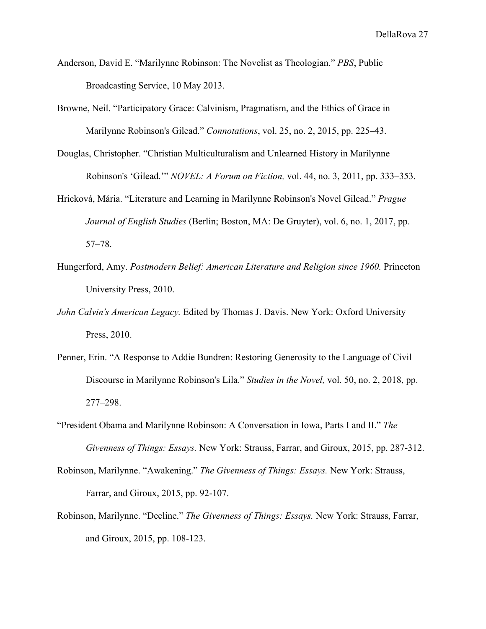- Anderson, David E. "Marilynne Robinson: The Novelist as Theologian." *PBS*, Public Broadcasting Service, 10 May 2013.
- Browne, Neil. "Participatory Grace: Calvinism, Pragmatism, and the Ethics of Grace in Marilynne Robinson's Gilead." *Connotations*, vol. 25, no. 2, 2015, pp. 225–43.
- Douglas, Christopher. "Christian Multiculturalism and Unlearned History in Marilynne Robinson's 'Gilead.'" *NOVEL: A Forum on Fiction,* vol. 44, no. 3, 2011, pp. 333–353.
- Hricková, Mária. "Literature and Learning in Marilynne Robinson's Novel Gilead." *Prague Journal of English Studies* (Berlin; Boston, MA: De Gruyter), vol. 6, no. 1, 2017, pp. 57–78.
- Hungerford, Amy. *Postmodern Belief: American Literature and Religion since 1960.* Princeton University Press, 2010.
- *John Calvin's American Legacy.* Edited by Thomas J. Davis. New York: Oxford University Press, 2010.
- Penner, Erin. "A Response to Addie Bundren: Restoring Generosity to the Language of Civil Discourse in Marilynne Robinson's Lila." *Studies in the Novel,* vol. 50, no. 2, 2018, pp. 277–298.
- "President Obama and Marilynne Robinson: A Conversation in Iowa, Parts I and II." *The Givenness of Things: Essays.* New York: Strauss, Farrar, and Giroux, 2015, pp. 287-312.
- Robinson, Marilynne. "Awakening." *The Givenness of Things: Essays.* New York: Strauss, Farrar, and Giroux, 2015, pp. 92-107.
- Robinson, Marilynne. "Decline." *The Givenness of Things: Essays.* New York: Strauss, Farrar, and Giroux, 2015, pp. 108-123.